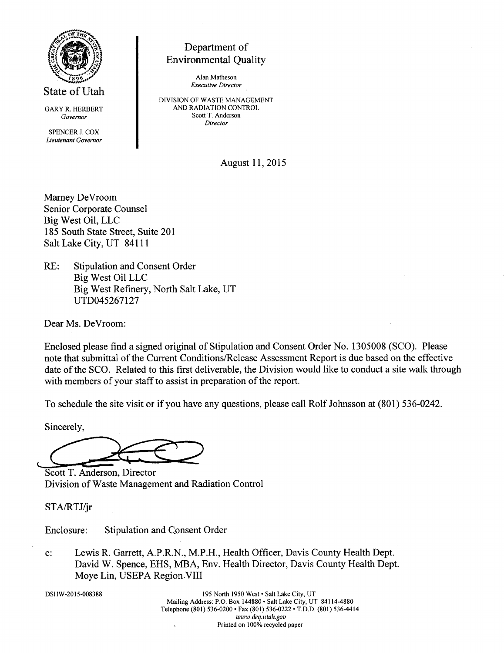

State of Utah

GARY R. HERBERT Governor

SPENCER J. COX Lieutenant Governor

# Department of Environmental Quality

Alan Matheson Executiye Director

DIVISION OF WASTE MANAGEMENT AND RADIATION CONTROL Scott T. Anderson Director

August 11,2015

Marney DeVroom Senior Corporate Counsel Big West Oil, LLC 185 South State Street, Suite 201 Salt Lake City, UT 84111

RE: Stipulation and Consent Order Big West Oil LLC Big West Refinery, North Salt Lake, UT uTD045267127

Dear Ms. DeVroom:

Enclosed please find a signed original of Stipulation and Consent Order No. 1305008 (SCO). Please note that submittal of the Current Conditions/Release Assessment Report is due based on the effective date of the SCO. Related to this first deliverable, the Division would like to conduct a site walk through with members of your staff to assist in preparation of the report.

To schedule the site visit or if you have any questions, please call Rolf Johnsson at (801) 536-0242.

Sincerely,

Division of Waste Manaqement and Radiation Control Scott T. Anderson, Director

STA/RTJ/jr

Enclosure: Stipulation and Consent Order

c: Lewis R. Garrett, A.P.R.N., M.P.H., Health Offrcer, Davis County Health Dept. David W. Spence, EHS, MBA, Env. Health Director, Davis County Health Dept. Moye Lin, USEPA Region.VIII

DSHw-2015-008388

195 North 1950 West · Salt Lake City, UT Mailing Address: P.O. Box 144880 . Salt Lake City, UT 84114-4880 Telephone (801) 536-0200 · Fax (801) 536-0222 · T.D.D. (801) 536-4414 www.deq.utah.gov Printed on 100% recycled paper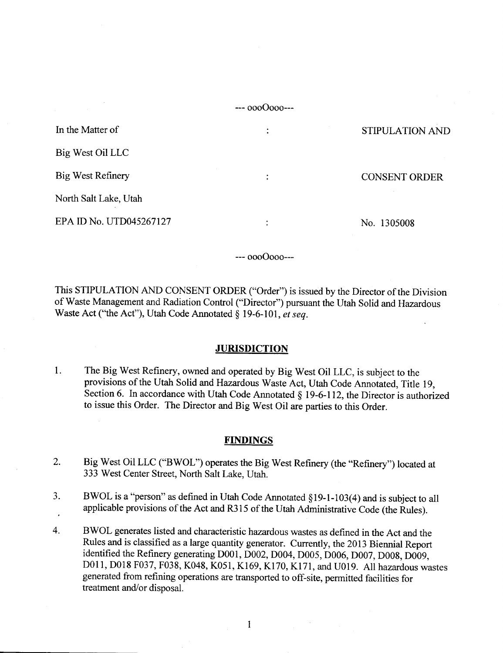$-000000-1$ 

| In the Matter of         | ٠ | STIPULATION AND      |
|--------------------------|---|----------------------|
| Big West Oil LLC         |   |                      |
| <b>Big West Refinery</b> | ٠ | <b>CONSENT ORDER</b> |
| North Salt Lake, Utah    |   |                      |
| EPA ID No. UTD045267127  | ٠ | No. 1305008          |

--- oooOooo---

This STIPULATION AND CONSENT ORDER ("Order") is issued by the Director of the Division of Waste Management and Radiation Control ("Director") pursuant the Utah Solid and Hazardous Waste Act ("the Act"), Utah Code Annotated  $§$  19-6-101, et seq.

#### **JURISDICTION**

l. The Big West Refinery, owned and operated by Big West oil LLC, is subject to the provisions of the Utah Solid and Hazardous Waste Act, Utah Code Annotated, Title 19, Section 6. In accordance with Utah Code Annotated  $\S$  19-6-112, the Director is authorized to issue this Order. The Director and Big West Oil are parties to this Order.

#### FINDINGS

- Big West Oil LLC ("BWOL") operates the Big West Refinery (the "Refinery") located at 333 West Center Street, North Salt Lake, Utah. 2.
- BWOL is a "person" as defined in Utah Code Annotated \$19-l-103(4) and is subject to all applicable provisions of the Act and R315 of the Utah Administrative Code (the Rules). 3.
- BWOL generates listed and characteristic hazardous wastes as defined in the Act and the Rules and is classified as a large quantity generator. Currently, the 2013 Biennial Report identified the Refinery generating D001, D002, D004, D005, D006, D007, D00g, D009, D011, D018 F037, F038, K048, K051, K169, K170, K171, and U019. All hazardous wastes generated from refining operations are transported to off-site, permitted facilities for treatment and/or disposal. 4.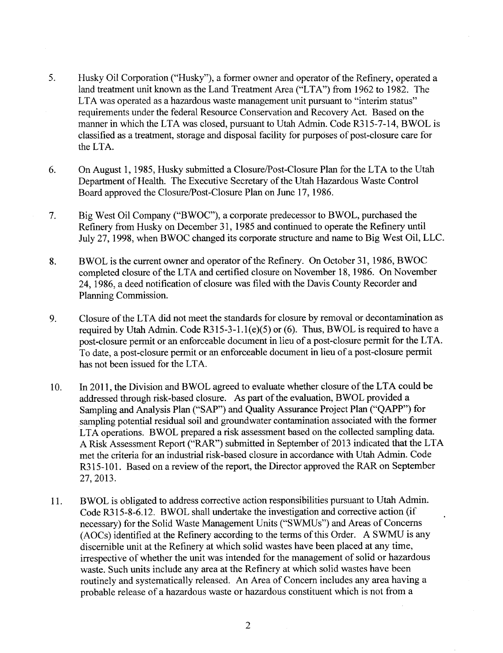- 5. Husky Oil Corporation ("Husky"), a former owner and operator of the Refinery, operated a land treatment unit known as the Land Treatment Area ("LTA") from 1962 to 1982. The LTA was operated as a hazardous waste management unit pursuant to "interim status" requirements under the federal Resource Conservation and Recovery Act. Based on the manner in which the LTA was closed, pursuant to Utah Admin. Code R315-7-14, BWOL is classified as a treatment, storage and disposal facility for purposes of post-closure care for the LTA.
- On August 1, 1985, Husky submitted a Closure/Post-Closure Plan for the LTA to the Utah Department of Health. The Executive Secretary of the Utah Hazardous Waste Control Board approved the Closure/Post-Closure Plan on June 17,1986. 6.
- Big West Oil Company ("BWOC"), a corporate predecessor to BWOL, purchased the Refinery from Husky on December 31, 1985 and continued to operate the Refinery until July 27,1998, when BWOC changed its corporate structure and name to Big West Oil, LLC. 7.
- BWOL is the current owner and operator of the Refinery. On October 31, 1986, BWOC completed closure of the LTA and certified closure on November 18, 1986. On November 24,1986, a deed notification of closure was filed with the Davis County Recorder and Planning Commission. 8.
- Closure of the LTA did not meet the standards for closure by removal or decontamination as required by Utah Admin. Code R315-3-1.1(e)(5) or (6). Thus, BWOL is required to have a post-closure permit or an enforceable document in lieu of a post-closure perrnit for the LTA. To date, a post-closure permit or an enforceable document in lieu of a post-closure permit has not been issued for the LTA. 9.
- In 2011, the Division and BWOL agreed to evaluate whether closure of the LTA could be addressed through risk-based closure. As part of the evaluation, BWOL provided a Sampling and Analysis Plan ("SAP") and Quality Assurance Project Plan ("QAPP") for sampling potential residual soil and groundwater contamination associated with the former LTA operations. BWOL prepared a risk assessment based on the collected sampling data. A Risk Assessment Report ("RAR") submitted in September of 2013 indicated that the LTA met the criteria for an industrial risk-based closure in accordance with Utah Admin. Code R315-101. Based on a review of the report, the Director approved the RAR on September 27,2013. 10.
- BWOL is obligated to address corrective action responsibilities pursuant to Utah Admin. Code R3l5 -8-6.12. BWOL shall undertake the investigation and corrective action (if necessary) for the Solid Waste Management Units ("SWMUs") and Areas of Concerns (AOCs) identified at the Refinery according to the terms of this Order. A SWMU is any discemible unit at the Refinery at which solid wastes have been placed at any time, irrespective of whether the unit was intended for the management of solid or hazardous waste. Such units include any area at the Refinery at which solid wastes have been routinely and systematically released. An Area of Concern includes any area having a probable release of ahazardous waste or hazardous constituent which is not from a 11.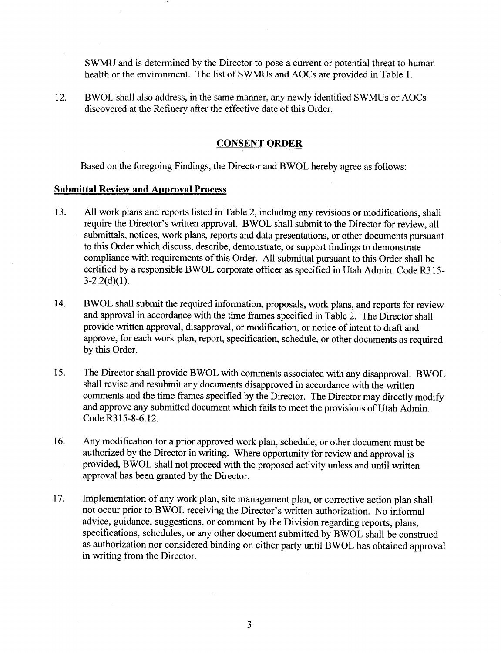SWMU and is determined by the Director to pose a current or potential threat to human health or the environment. The list of SWMUs and AOCs are provided in Table l.

12. BWOL shall also address, in the same manner, any newly identified SWMUs or AOCs discovered at the Refinerv after the effective date of this Order.

## CONSENT ORDER

Based on the foregoing Findings, the Director and BWOL hereby agree as follows:

#### Submittal Review and Approval Process

- 13. All work plans and reports listed in Table 2, including any revisions or modifications, shall require the Director's written approval. BWOL shall submit to the Director for review, all submittals, notices, work plans, reports and data presentations, or other documents pursuant to this Order which discuss, describe, demonstrate, or support findings to demonstrate compliance with requirements of this Order. All submittal pursuant to this Order shall be certified by a responsible BWOL corporate officer as specified in Utah Admin. Code R3 l5-  $3-2.2(d)(1)$ .
- 14. BWOL shall submit the required information, proposals, work plans, and reports for review and approval in accordance with the time frames specified in Table 2. The Director shall provide written approval, disapproval, or modification, or notice of intent to draft and approve, for each work plan, report, specification, schedule, or other documents as required by this Order.
- 15. The Director shall provide BWOL with comments associated with any disapproval. BWOL shall revise and resubmit any documents disapproved in accordance with the written comments and the time frames specified by the Director. The Director may directly modify and approve any submitted document which fails to meet the provisions of Utah Admin. Code R3l5-8-6.12.
- Any modification for a prior approved work plan, schedule, or other document must be authorized by the Director in writing. Where opportunity for review and approval is provided, BWOL shall not proceed with the proposed activity unless and until written approval has been granted by the Director. 16.
- Implementation of any work plan, site management plan, or corrective action plan shall not occur prior to BWOL receiving the Director's written authorization. No informal advice, guidance, suggestions, or comment by the Division regarding reports, plans, specifications, schedules, or any other document submitted by BWOL shall be construed as authorization nor considered binding on either party until BWOL has obtained approval in writing from the Director. 17.

3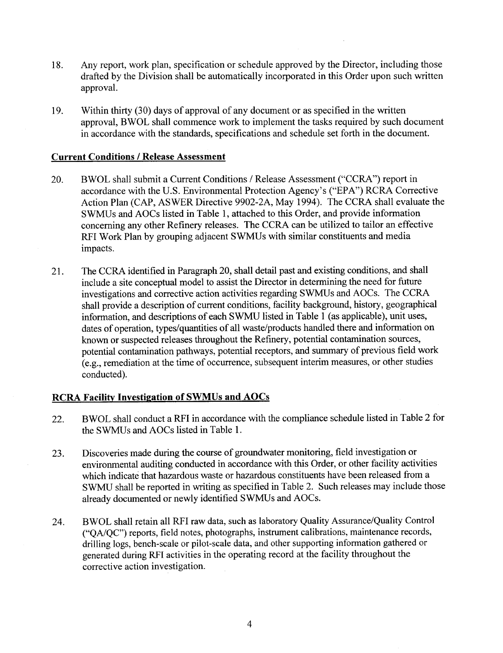- 18. Any report, work plan, specification or schedule approved by the Director, including those drafted by the Division shall be automatically incorporated in this Order upon such written approval.
- 19. Within thirty (30) days of approval of any document or as specified in the written approval, BWOL shall commence work to implement the tasks required by such document in accordance with the standards, specifications and schedule set forth in the document.

## Current Conditions / Release Assessment

- 20. BWOL shall submit a Current Conditions / Release Assessment ("CCRA") report in accordance with the U.S. Environmental Protection Agency's ("EPA") RCRA Corrective Action Plan (CAP, ASWER Directive 9902-2A, May 1994). The CCRA shall evaluate the SWMUs and AOCs listed in Table 1, attached to this Order, and provide information concerning any other Refinery releases. The CCRA can be utilized to tailor an effective RFI Work Plan by grouping adjacent SWMUs with similar constituents and media impacts.
- 21. The CCRA identified in Paragraph 20, shall detail past and existing conditions, and shall include a site conceptual model to assist the Director in determining the need for future investigations and corrective action activities regarding SWMUs and AOCs. The CCRA shall provide a description of current conditions, facility background, history, geographical information, and descriptions of each SWMU listed in Table I (as applicable), unit uses, dates of operation, types/quantities of all waste/products handled there and information on known or suspected releases throughout the Refinery, potential contamination sources, potential contamination pathways, potential receptors, and summary of previous field work (e.g., remediation at the time of occrurence, subsequent interim measures, or other studies conducted).

# RCRA Facility Investigation of SWMUs and AOCs

- 22. BWOL shall conduct a RFI in accordance with the compliance schedule listed in Table 2 for the SWMUs and AOCs listed in Table l.
- 23. Discoveries made during the course of groundwater monitoring, field investigation or environmental auditing conducted in accordance with this Order, or other facility activities which indicate that hazardous waste or hazardous constituents have been released from a SWMU shall be reported in writing as specified in Table 2. Such releases may include those already documented or newly identified SWMUs and AOCs.
- 24. BWOL shall retain all RFI raw data, such as laboratory Quality Assurance/Quality Control ("QA/QC") reports, field notes, photographs, instrument calibrations, maintenance records, drilling logs, bench-scale or pilot-scale data, and other supporting information gathered or generated during RFI activities in the operating record at the facility throughout the corrective action investigation.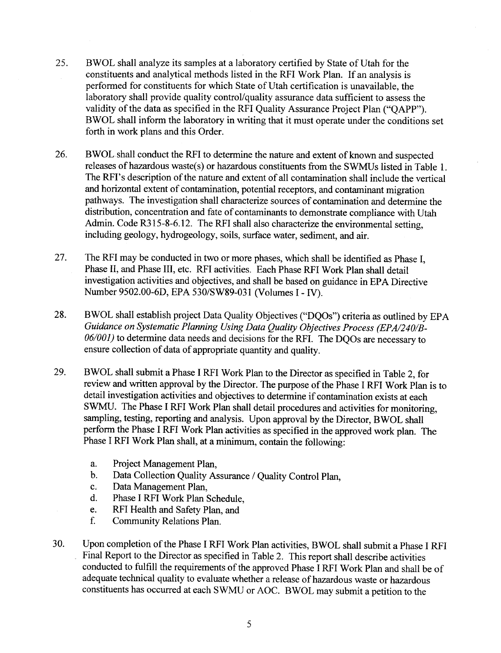- 25. BWOL shall analyze its samples at a laboratory certified by State of Utah for the constituents and analyical methods listed in the RFI Work Plan. If an analysis is performed for constituents for which State of Utah certification is unavailable, the laboratory shall provide quality control/quality assurance data sufficient to assess the validity of the data as specified in the RFI Quality Assurance Project Plan ("QAPP"). BWOL shall inform the laboratory in writing that it must operate under the conditions set forth in work plans and this Order.
- BWOL shall conduct the RFI to determine the nature and extent of known and suspected releases of hazardous waste(s) or hazardous constituents from the SWMUs listed in Table 1. The RFI's description of the nature and extent of all contamination shall include the vertical and horizontal extent of contamination, potential receptors, and contaminant migration pathways. The investigation shall characteize sources of contamination and determine the distribution, concentration and fate of contaminants to demonstrate compliance with Utah Admin. Code R315-8-6.12. The RFI shall also characterize the environmental setting, including geology, hydrogeology, soils, surface water, sediment, and air. 26.
- The RFI may be conducted in two or more phases, which shall be identified as Phase I, Phase II, and Phase III, etc. RFI activities. Each Phase RFI Work Plan shall detail investigation activities and objectives, and shall be based on guidance in EPA Directive Number 9502.00-6D, EPA 530/SW89-031 (Volumes I - IV). 27.
- BWOL shall establish project Data Quality Objectives ("DQOs") criteria as outlined by EPA Guidance on Systematic Planning Using Data Quality Objectives Process (EPA/240/B-06/001) to determine data needs and decisions for the RFI. The DQOs are necessary to ensure collection of data of appropriate quantity and quality. 28.
- BWOL shall submit a Phase I RFI Work Plan to the Director as specified in Table 2, for review and written approval by the Director. The purpose of the Phase I RFI Work Plan is to detail investigation activities and objectives to determine if contamination exists at each SWMU. The Phase I RFI Work Plan shall detail procedures and activities for monitoring, sampling, testing, reporting and analysis. Upon approval by the Director, BWOL shall perform the Phase I RFI Work Plan activities as specified in the approved work plan. The Phase I RFI Work Plan shall, at a minimum, contain the following: 29.
	- a. Project Management Plan,
	- b. Data Collection Quality Assurance / Quality Control plan,
	- Data Management Plan, c.
	- Phase I RFI Work Plan Schedule, d.
	- RFI Health and Safety Plan, and e.
	- Community Relations Plan. f.
- Upon completion of the Phase I RFI Work Plan activities, BWOL shall submit a Phase I RFI Final Report to the Director as specified in Table 2. This report shall describe activities conducted to fulfill the requirements of the approved Phase I RFI Work Plan and shall be of adequate technical quality to evaluate whether a release of hazardous waste or hazardous constituents has occurred at each SWMU or AOC. BWOL may submit a petition to the 30.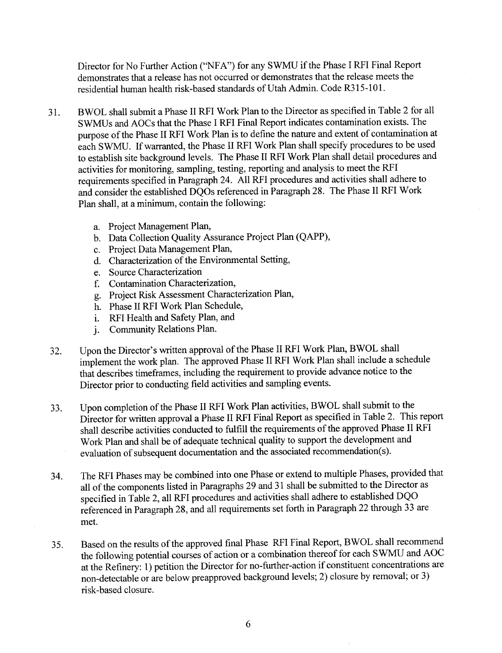Director for No Further Action ("NFA") for any SWMU if the Phase I RFI Final Report demonstrates that a release has not occurred or demonstrates that the release meets the residential human health risk-based standards of Utah Admin. Code R315-101.

- 31. BWOL shall submit a Phase II RFI Work Plan to the Director as specified in Table 2 for all SWMUs and AOCs that the Phase I RFI Final Report indicates contamination exists. The purpose of the Phase II RFI Work Plan is to define the nature and extent of contamination at each SWMU. If warranted, the Phase II RFI Work Plan shall specify procedures to be used to establish site background levels. The Phase II RFI Work Plan shall detail procedures and activities for monitoring, sampling, testing, reporting and analysis to meet the RFI requirements specified in Paragraph24. All RFI procedures and activities shall adhere to and consider the established DQOs referenced in Paragraph 28. The Phase II RFI Work Plan shall, at a minimum, contain the following:
	- a. Project Management Plan,
	- b. Data Collection Quality Assurance Project Plan (QAPP),
	- c. Project Data Management Plan,
	- d. Characterization of the Environmental Setting,
	- e. Source Characterization
	- Contamination Characterization, f.
	- g. Project Risk Assessment Characterization Plan,
	- h. Phase II RFI Work Plan Schedule,
	- RFI Health and Safety Plan, and i.
	- Community Relations Plan. j.
- Upon the Director's written approval of the Phase II RFI Work Plan, BWOL shall implement the work plan. The approved Phase II RFI Work Plan shall include a schedule that describes timeframes, including the requirement to provide advance notice to the Director prior to conducting field activities and sampling events.  $32.$
- Upon completion of the Phase II RFI Work Plan activities, BWOL shall submit to the Director for written approval a Phase II RFI Final Report as specified in Table 2. This report shall describe activities conducted to fulfill the requirements of the approved Phase II RFI Work Plan and shall be of adequate technical quality to support the development and evaluation of subsequent documentation and the associated recommendation(s). 33.
- The RFI Phases may be combined into one Phase or extend to multiple Phases, provided that all of the components listed in Paragraphs 29 and 31 shall be submitted to the Director as specified in Table 2, all RFI procedures and activities shall adhere to established DQO referenced in Paragraph 28, and all requirements set forth in Paragraph 22 through 33 are met. 34.
- Based on the results of the approved final Phase RFI Final Report, BWOL shall recommend the following potential courses of action or a combination thereof for each SWMU and AOC at the Refinery: 1) petition the Director for no-further-action if constituent concentrations are non-detectable or are below preapproved background levels; 2) closure by removal; or 3) risk-based closure. 35.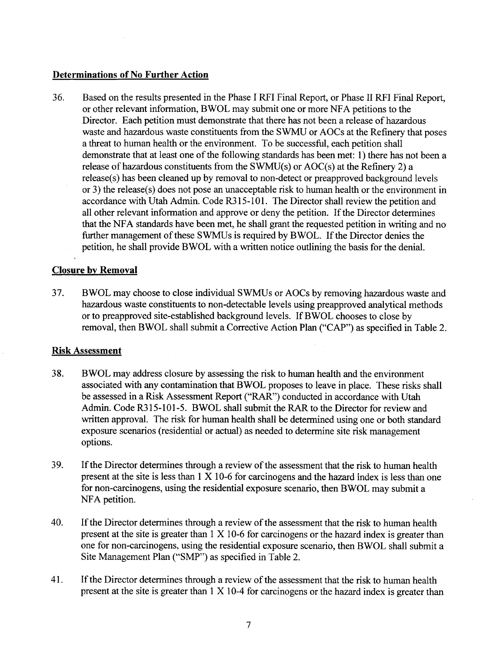# Determinations of No Further Action

36. Based on the results presented in the Phase I RFI Final Report, or Phase II RFI Final Report, or other relevant information, BWOL may submit one or more NFA petitions to the Director. Each petition must demonstrate that there has not been a release of hazardous waste and hazardous waste constituents from the SWMU or AOCs at the Refinery that poses a threat to human health or the environment. To be successful, each petition shall demonstrate that at least one of the following standards has been met: l) there has not been <sup>a</sup> release of hazardous constituents from the SWMU(s) or AOC(s) at the Refinery 2) a release(s) has been cleaned up by removal to non-detect or preapproved background levels or 3) the release(s) does not pose an unacceptable risk to human health or the environment in accordance with Utah Admin. Code R315-101. The Director shall review the petition and all other relevant information and approve or deny the petition. If the Director determines that the NFA standards have been met, he shall grant the requested petition in writing and no further management of these SWMUs is required by BWOL. If the Director denies the . petition, he shall provide BWOL with a written notice outlining the basis for the denial.

### Closure bv Removal

37. BWOL may choose to close individual SWMUs or AOCs by removing hazardous waste and hazardous waste constituents to non-detectable levels using preapproved analytical methods orto preapproved site-established background levels. If BWOL chooses to close by removal, then BWOL shall submit a Corrective Action Plan ("CAP") as specified in Table 2.

#### Risk Assessment

- 38. BWOL may address closure by assessing the risk to human health and the environment associated with any contamination that BWOL proposes to leave in place. These risks shall be assessed in a Risk Assessment Report ("RAR") conducted in accordance with Utah Admin. Code R315-101-5. BWOL shall submit the RAR to the Director for review and written approval. The risk for human health shall be determined using one or both standard exposure scenarios (residential or actual) as needed to determine site risk management options.
- 39. If the Director determines through a review of the assessment that the risk to human health present at the site is less than I X 10-6 for carcinogens and the hazard index is less than one for non-carcinogens, using the residential exposure scenario, then BWOL may submit a NFA petition.
- 40. If the Director determines through a review of the assessment that the risk to human health present at the site is greater than  $1 \times 10$ -6 for carcinogens or the hazard index is greater than one for non-carcinogens, using the residential exposure scenario, then BWOL shall submit a Site Management Plan ("SMP") as specified in Table 2.
- If the Director determines through a review of the assessment that the risk to human health present at the site is greater than I X 10-4 for carcinogens or the hazard index is greater than 41.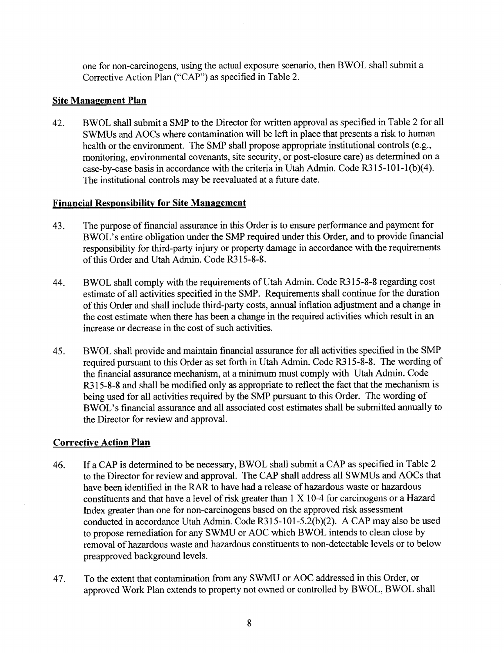one for non-carcinogens, using the actual exposure scenario, then BWOL shall submit a Corrective Action Plan ("CAP") as specified in Table 2.

# Site Management Plan

42. BWOL shall submit a SMP to the Director for written approval as specified in Table 2 for all SWMUs and AOCs where contamination will be left in place that presents a risk to human health or the environment. The SMP shall propose appropriate institutional controls (e.g., monitoring, environmental covenants, site security, or post-closure care) as determined on a case-by-case basis in accordance with the criteria in Utah Admin. Code  $\overline{R}315-101-1(b)(4)$ . The institutional controls may be reevaluated at a future date.

# **Financial Responsibility for Site Management**

- 43. The purpose of financial assurance in this Order is to ensure performance and payment for BWOL's entire obligation under the SMP required under this Order, and to provide financial responsibility for third-party injury or property damage in accordance with the requirements of this Order and Utah Admin. Code R315-8-8.
- 44. BWOL shall comply with the requirements of Utah Admin. Code R315-8-8 regarding cost estimate of all activities specified in the SMP. Requirements shall continue for the duration of this Order and shall include third-party costs, annual inflation adjustment and a change in the cost estimate when there has been a change in the required activities which result in an increase or decrease in the cost of such activities.
- 45. BWOL shall provide and maintain financial assurance for all activities specified in the SMP required pursuant to this Order as set forth in Utah Admin. Code R315-8-8. The wording of the financial assurance mechanism, at a minimum must comply with Utah Admin. Code R315-8-8 and shall be modified only as appropriate to reflect the fact that the mechanism is being used for all activities required by the SMP pursuant to this Order. The wording of BWOL's financial assurance and all associated cost estimates shall be submitted annually to the Director for review and approval.

# Corrective Action Plan

- 46. If a CAP is determined to be necessary, BWOL shall submit a CAP as specified in Table <sup>2</sup> to the Director for review and approval. The CAP shall address all SWMUs and AOCs that have been identified in the RAR to have had a release of hazardous waste or hazardous constituents and that have a level of risk greater than 1 X 10-4 for carcinogens or a Hazard Index greater than one for non-carcinogens based on the approved risk assessment conducted in accordance Utah Admin. Code R3l5-l0l-5.2(b)(2). A CAP may also be used to propose remediation for any SWMU or AOC which BWOL intends to clean close by removal of hazardous waste and hazardous constituents to non-detectable levels or to below preapproved background levels.
- 47. To the extent that contamination from any SWMU or AOC addressed in this Order, or approved Work Plan extends to property not owned or controlled by BWOL, BWOL shall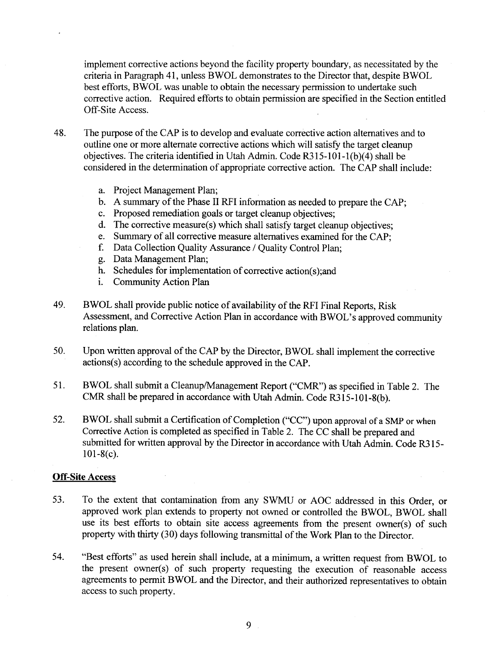implement corrective actions beyond the facility property boundary, as necessitated by the criteria in Paragraph 41, unless BWOL demonstrates to the Director that, despite BWOL best efforts, BWOL was unable to obtain the necessary permission to undertake such corrective action. Required efforts to obtain permission are specified in the Section entitled Off-Site Access.

- 48. The purpose of the CAP is to develop and evaluate corrective action altematives and to outline one or more alternate corrective actions which will satisfy the target cleanup objectives. The criteria identified in Utah Admin. Code R3l5-l0l-1(b)(4) shall be considered in the determination of appropriate corrective action. The CAP shall include:
	- a. Project Management Plan;
	- A summary of the Phase II RFI information as needed to prepare the CAP;
	- Proposed remediation goals or target cleanup objectives;
	- d. The corrective measure(s) which shall satisfy target cleanup objectives;
	- e. Summary of all corrective measure alternatives examined for the CAP;
	- Data Collection Quality Assurance / Quality Control Plan;
	- Data Management Plan;
	- h. Schedules for implementation of corrective action(s); and
	- Community Action Plan  $\mathbf{i}$ .
- 49. BWOL shall provide public notice of availability of the RFI Final Reports, Risk Assessment, and Corrective Action Plan in accordance with BWOL's approved community relations plan.
- 50. Upon written approval of the CAP by the Director, BWOL shall implement the corrective actions(s) according to the schedule approved in the CAP.
- 51. BWOL shall submit a Cleanup/Management Report ("CMR") as specified in Table 2. The CMR shall be prepared in accordance with Utah Admin. Code R315-l0l-8(b).
- 52. BWOL shall submit a Certification of Completion ("CC") upon approval of a SMP or when Corrective Action is completed as specified in Table 2. The CC shall be prepared and submitted for written approval by the Director in accordance with Utah Admin. Code R315- $101-8(c)$ .

#### Off-Site Access

- 53. To the extent that contamination from any SWMU or AOC addressed in this Order, or approved work plan extends to property not owned or controlled the BWOL, BWOL shall use its best efforts to obtain site access agreements from the present owner(s) of such property with thirty (30) days following transmittal of the Work Plan to the Director.
- 54. "Best efforts" as used herein shall include, at a minimum, a written request from BWOL to the present owner(s) of such property requesting the execution of reasonable access agteements to permit BWOL and the Director, and their authorized representatives to obtain access to such property.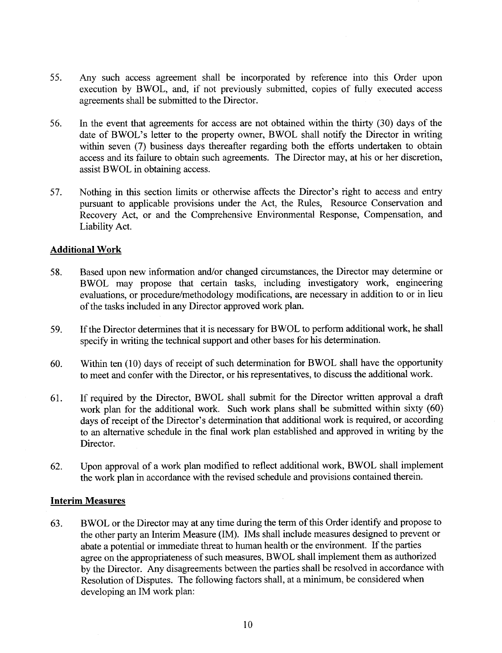- 55. Any such access agreement shall be incorporated by reference into this Order upon execution by BWOL, and, if not previously submitted, copies of fully executed access agreements shall be submitted to the Director.
- 56. In the event that agreements for access are not obtained within the thirty (30) days of the date of BWOL's letter to the property owner, BWOL shall notify the Director in writing within seven (7) business days thereafter regarding both the efforts undertaken to obtain access and its failure to obtain such agreements. The Director may, at his or her discretion, assist BWOL in obtaining access.
- 57. Nothing in this section limits or otherwise affects the Director's right to access and entry pursuant to applicable provisions under the Act, the Rules, Resource Conservation and Recovery Act, or and the Comprehensive Environmental Response, Compensation, and Liability Act.

### Additional Work

- 58. Based upon new information and/or changed circumstances, the Director may determine or BWOL may propose that certain tasks, including investigatory work, engineering evaluations, or procedure/methodology modifications, are necessary in addition to or in lieu of the tasks included in any Director approved work plan.
- 59. If the Director determines that it is necessary for BWOL to perform additional work, he shall specify in writing the technical support and other bases for his determination.
- 60. Within ten (10) days of receipt of such determination for BWOL shall have the opportunity to meet and confer with the Director, or his representatives, to discuss the additional work.
- 61. If required by the Director, BWOL shall submit for the Director written approval a draft work plan for the additional work. Such work plans shall be submitted within sixty (60) days of receipt of the Director's determination that additional work is required, or according to an alternative schedule in the final work plan established and approved in writing by the Director.
- 62. Upon approval of a work plan modified to reflect additional work, BWOL shall implement the work plan in accordance with the revised schedule and provisions contained therein.

#### Interim Measures

63. BWOL or the Director may at any time during the term of this Order identify and propose to the other party an Interim Measure (IM). IMs shall include measures designed to prevent or abate a potential or immediate threat to human health or the environment. If the parties agree on the appropriateness of such measures, BWOL shall implement them as authorized by the Director. Any disagreements between the parties shall be resolved in accordance with Resolution of Disputes. The following factors shall, at a minimum, be considered when developing an IM work plan: